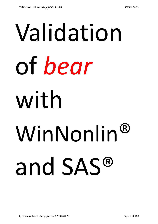## Validation of *bear* with WinNonlin® and SAS®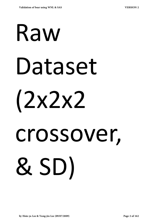## Raw Dataset (2x2x2 crossover, & SD)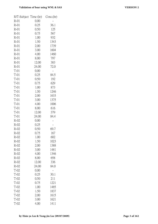| R/T-Subject Time (hr) |       | Conc.(hr) |
|-----------------------|-------|-----------|
| $R-01$                | 0.00  |           |
| $R-01$                | 0.25  | 36.1      |
| $R-01$                | 0.50  | 125       |
| $R-01$                | 0.75  | 567       |
| $R-01$                | 1.00  | 932       |
| $R-01$                | 1.50  | 1343      |
| $R-01$                | 2.00  | 1739      |
| $R-01$                | 3.00  | 1604      |
| $R-01$                | 4.00  | 1460      |
| $R-01$                | 8.00  | 797       |
| $R-01$                | 12.00 | 383       |
| $R-01$                | 24.00 | 72.0      |
| $T-01$                | 0.00  |           |
| $T-01$                | 0.25  | 84.5      |
| $T-01$                | 0.50  | 192       |
| $T-01$                | 0.75  | 629       |
| $T-01$                | 1.00  | 873       |
| $T-01$                | 1.50  | 1246      |
| $T-01$                | 2.00  | 1633      |
| $T-01$                | 3.00  | 1375      |
| $T-01$                | 4.00  | 1006      |
| $T-01$                | 8.00  | 616       |
| $T-01$                | 12.00 | 379       |
| $T-01$                | 24.00 | 84.4      |
| $R-02$                | 0.00  |           |
| $R-02$                | 0.25  |           |
| $R-02$                | 0.50  | 69.7      |
| $R-02$                | 0.75  | 167       |
| $R-02$                | 1.00  | 602       |
| $R-02$                | 1.50  | 1023      |
| $R-02$                | 2.00  | 1388      |
| $R-02$                | 3.00  | 1481      |
| $R-02$                | 4.00  | 1346      |
| $R-02$                | 8.00  | 658       |
| $R-02$                | 12.00 | 336       |
| $R-02$                | 24.00 | 84.0      |
| $T-02$                | 0.00  |           |
| $T-02$                | 0.25  | 30.1      |
| $T-02$                | 0.50  | 211       |
| $T-02$                | 0.75  | 1221      |
| $T-02$                | 1.00  | 1485      |
| $T-02$                | 1.50  | 1837      |
| $T-02$                | 2.00  | 1615      |
| $T-02$                | 3.00  | 1621      |
| T-02                  | 4.00  | 1411      |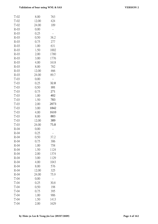| $T-02$ | 8.00  | 763  |
|--------|-------|------|
| $T-02$ | 12.00 | 424  |
| T-02   | 24.00 | 109  |
| $R-03$ | 0.00  |      |
| $R-03$ | 0.25  |      |
| $R-03$ | 0.50  | 38.2 |
| $R-03$ | 0.75  | 277  |
| $R-03$ | 1.00  | 631  |
| $R-03$ | 1.50  | 1002 |
| $R-03$ | 2.00  | 1780 |
| $R-03$ | 3.00  | 1776 |
| $R-03$ | 4.00  | 1618 |
| $R-03$ | 8.00  | 782  |
| $R-03$ | 12.00 | 466  |
| $R-03$ | 24.00 | 89.7 |
| $T-03$ | 0.00  |      |
| $T-03$ | 0.25  | 32.8 |
| $T-03$ | 0.50  | 181  |
| $T-03$ | 0.75  | 271  |
| $T-03$ | 1.00  | 402  |
| $T-03$ | 1.50  | 783  |
| $T-03$ | 2.00  | 2073 |
| T-03   | 3.00  | 1842 |
| $T-03$ | 4.00  | 1610 |
| $T-03$ | 8.00  | 883  |
| $T-03$ | 12.00 | 389  |
| $T-03$ | 24.00 | 75.8 |
| $R-04$ | 0.00  |      |
| R-04   | 0.25  |      |
| $R-04$ | 0.50  | 37.2 |
| $R-04$ | 0.75  | 306  |
| $R-04$ | 1.00  | 758  |
| $R-04$ | 1.50  | 1124 |
| $R-04$ | 2.00  | 1374 |
| $R-04$ | 3.00  | 1129 |
| $R-04$ | 4.00  | 1043 |
| $R-04$ | 8.00  | 576  |
| $R-04$ | 12.00 | 325  |
| $R-04$ | 24.00 | 75.9 |
| $T-04$ | 0.00  |      |
| $T-04$ | 0.25  | 30.8 |
| $T-04$ | 0.50  | 198  |
| $T-04$ | 0.75  | 395  |
| $T-04$ | 1.00  | 906  |
| $T-04$ | 1.50  | 1413 |
| $T-04$ | 2.00  | 1629 |